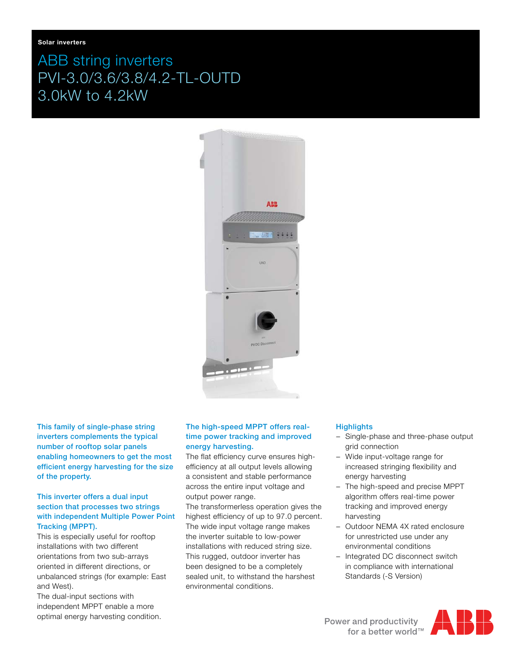# ABB string inverters PVI-3.0/3.6/3.8/4.2-TL-OUTD 3.0kW to 4.2kW



This family of single-phase string inverters complements the typical number of rooftop solar panels enabling homeowners to get the most efficient energy harvesting for the size of the property.

## This inverter offers a dual input section that processes two strings with independent Multiple Power Point Tracking (MPPT).

This is especially useful for rooftop installations with two different orientations from two sub-arrays oriented in different directions, or unbalanced strings (for example: East and West).

The dual-input sections with independent MPPT enable a more optimal energy harvesting condition.

## The high-speed MPPT offers realtime power tracking and improved energy harvesting.

The flat efficiency curve ensures highefficiency at all output levels allowing a consistent and stable performance across the entire input voltage and output power range.

The transformerless operation gives the highest efficiency of up to 97.0 percent. The wide input voltage range makes the inverter suitable to low-power installations with reduced string size. This rugged, outdoor inverter has been designed to be a completely sealed unit, to withstand the harshest environmental conditions.

#### **Highlights**

- − Single-phase and three-phase output grid connection
- Wide input-voltage range for increased stringing flexibility and energy harvesting
- − The high-speed and precise MPPT algorithm offers real-time power tracking and improved energy harvesting
- − Outdoor NEMA 4X rated enclosure for unrestricted use under any environmental conditions
- − Integrated DC disconnect switch in compliance with international Standards (-S Version)

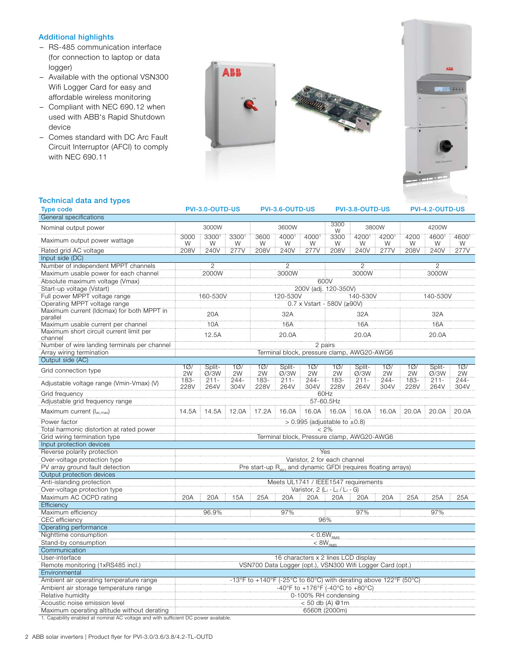## Additional highlights

- − RS-485 communication interface (for connection to laptop or data logger)
- − Available with the optional VSN300 Wifi Logger Card for easy and affordable wireless monitoring
- − Compliant with NEC 690.12 when used with ABB's Rapid Shutdown device
- − Comes standard with DC Arc Fault Circuit Interruptor (AFCI) to comply with NEC 690.11





## Technical data and types

| <b>Type code</b>                                                              | PVI-3.0-OUTD-US                                                                                  |                      |                 | PVI-3.6-OUTD-US |                 |                 | PVI-3.8-OUTD-US                       |                 |                 | PVI-4.2-OUTD-US |                 |                 |  |
|-------------------------------------------------------------------------------|--------------------------------------------------------------------------------------------------|----------------------|-----------------|-----------------|-----------------|-----------------|---------------------------------------|-----------------|-----------------|-----------------|-----------------|-----------------|--|
| General specifications                                                        |                                                                                                  |                      |                 |                 |                 |                 |                                       |                 |                 |                 |                 |                 |  |
| Nominal output power                                                          |                                                                                                  | 3000W                |                 |                 | 3600W           |                 | 3300<br>W                             | 3800W           |                 |                 | 4200W           |                 |  |
| Maximum output power wattage                                                  | 3000<br>W                                                                                        | 33001<br>W           | 33001<br>W      | 3600<br>W       | 40001<br>W      | 4000<br>W       | 3300<br>W                             | 42001<br>W      | 4200<br>W       | 4200<br>W       | 46001<br>W      | 46001<br>W      |  |
| Rated grid AC voltage                                                         | 208V                                                                                             | 240V                 | 277V            | 208V            | 240V            | 277V            | 208V                                  | 240V            | 277V            | 208V            | 240V            | 277V            |  |
| Input side (DC)                                                               |                                                                                                  |                      |                 |                 |                 |                 |                                       |                 |                 |                 |                 |                 |  |
| Number of independent MPPT channels                                           | $\mathbf{2}$                                                                                     |                      |                 | $\mathbf{2}$    |                 |                 | $\mathbf{2}$                          |                 |                 | $\mathbf{2}$    |                 |                 |  |
| Maximum usable power for each channel                                         | 2000W                                                                                            |                      |                 | 3000W           |                 |                 | 3000W                                 |                 |                 | 3000W           |                 |                 |  |
| Absolute maximum voltage (Vmax)                                               | 600V                                                                                             |                      |                 |                 |                 |                 |                                       |                 |                 |                 |                 |                 |  |
| Start-up voltage (Vstart)                                                     |                                                                                                  | 200V (adj. 120-350V) |                 |                 |                 |                 |                                       |                 |                 |                 |                 |                 |  |
| Full power MPPT voltage range                                                 |                                                                                                  | 160-530V             |                 | 120-530V        |                 |                 | 140-530V                              |                 |                 | 140-530V        |                 |                 |  |
| Operating MPPT voltage range                                                  | 0.7 x Vstart - 580V (≥90V)                                                                       |                      |                 |                 |                 |                 |                                       |                 |                 |                 |                 |                 |  |
| Maximum current (Idcmax) for both MPPT in                                     | 20A                                                                                              |                      |                 | 32A             |                 |                 | 32A                                   |                 |                 | 32A             |                 |                 |  |
| parallel                                                                      | 10A                                                                                              |                      |                 | 16A             |                 |                 | 16A                                   |                 |                 | 16A             |                 |                 |  |
| Maximum usable current per channel<br>Maximum short circuit current limit per |                                                                                                  |                      |                 |                 |                 |                 |                                       |                 |                 |                 |                 |                 |  |
| channel                                                                       | 12.5A                                                                                            |                      |                 | 20.0A           |                 |                 | 20.0A                                 |                 |                 | 20.0A           |                 |                 |  |
| Number of wire landing terminals per channel                                  | 2 pairs                                                                                          |                      |                 |                 |                 |                 |                                       |                 |                 |                 |                 |                 |  |
| Array wiring termination                                                      | Terminal block, pressure clamp, AWG20-AWG6                                                       |                      |                 |                 |                 |                 |                                       |                 |                 |                 |                 |                 |  |
| Output side (AC)                                                              |                                                                                                  |                      |                 |                 |                 |                 |                                       |                 |                 |                 |                 |                 |  |
| Grid connection type                                                          | 10/<br>2W                                                                                        | Split-<br>Ø/3W       | 10/<br>2W       | 10/<br>2W       | Split-<br>Ø/3W  | 10/<br>2W       | 10/<br>2W                             | Split-<br>Ø/3W  | 10/<br>2W       | 10/<br>2W       | Split-<br>Ø/3W  | 10/<br>2W       |  |
| Adjustable voltage range (Vmin-Vmax) (V)                                      | $183 -$<br>228V                                                                                  | $211 -$<br>264V      | $244 -$<br>304V | $183 -$<br>228V | $211 -$<br>264V | $244 -$<br>304V | 183-<br>228V                          | $211 -$<br>264V | $244 -$<br>304V | $183 -$<br>228V | $211 -$<br>264V | $244 -$<br>304V |  |
| Grid frequency                                                                | 60Hz                                                                                             |                      |                 |                 |                 |                 |                                       |                 |                 |                 |                 |                 |  |
| Adjustable grid frequency range                                               | 57-60.5Hz                                                                                        |                      |                 |                 |                 |                 |                                       |                 |                 |                 |                 |                 |  |
| Maximum current (lac,max)                                                     | 14.5A                                                                                            | 14.5A                | 12.0A           | 17.2A           |                 |                 | 16.0A   16.0A   16.0A   16.0A   16.0A |                 |                 | 20.0A           | 20.0A           | 20.0A           |  |
| Power factor                                                                  | $> 0.995$ (adjustable to $\pm 0.8$ )                                                             |                      |                 |                 |                 |                 |                                       |                 |                 |                 |                 |                 |  |
| Total harmonic distortion at rated power                                      | $< 2\%$                                                                                          |                      |                 |                 |                 |                 |                                       |                 |                 |                 |                 |                 |  |
| Grid wiring termination type                                                  | Terminal block, Pressure clamp, AWG20-AWG6                                                       |                      |                 |                 |                 |                 |                                       |                 |                 |                 |                 |                 |  |
| Input protection devices                                                      |                                                                                                  |                      |                 |                 |                 |                 |                                       |                 |                 |                 |                 |                 |  |
| Reverse polarity protection                                                   | Yes                                                                                              |                      |                 |                 |                 |                 |                                       |                 |                 |                 |                 |                 |  |
| Over-voltage protection type                                                  | Varistor, 2 for each channel                                                                     |                      |                 |                 |                 |                 |                                       |                 |                 |                 |                 |                 |  |
| PV array ground fault detection                                               | Pre start-up R <sub>iso</sub> and dynamic GFDI (requires floating arrays)                        |                      |                 |                 |                 |                 |                                       |                 |                 |                 |                 |                 |  |
| Output protection devices                                                     |                                                                                                  |                      |                 |                 |                 |                 |                                       |                 |                 |                 |                 |                 |  |
| Anti-islanding protection                                                     | Meets UL1741 / IEEE1547 requirements                                                             |                      |                 |                 |                 |                 |                                       |                 |                 |                 |                 |                 |  |
| Over-voltage protection type                                                  | Varistor, 2 (L <sub>1</sub> - L <sub>2</sub> / L <sub>1</sub> - G)                               |                      |                 |                 |                 |                 |                                       |                 |                 |                 |                 |                 |  |
| Maximum AC OCPD rating                                                        | 20A                                                                                              | 20A                  | 15A             | 25A             | 20A             | 20A             | 20A                                   | 20A             | 20A             | 25A             | 25A             | 25A             |  |
| Efficiency<br>Maximum efficiency                                              |                                                                                                  | 96.9%                |                 |                 | 97%             |                 |                                       | 97%             |                 |                 | 97%             |                 |  |
| CEC efficiency                                                                |                                                                                                  |                      |                 |                 |                 |                 | 96%                                   |                 |                 |                 |                 |                 |  |
| Operating performance                                                         |                                                                                                  |                      |                 |                 |                 |                 |                                       |                 |                 |                 |                 |                 |  |
| Nighttime consumption                                                         |                                                                                                  |                      |                 |                 |                 |                 |                                       |                 |                 |                 |                 |                 |  |
| Stand-by consumption                                                          | $< 0.6W_{\text{BMS}}$<br>$< 8W_{\text{ex}}$                                                      |                      |                 |                 |                 |                 |                                       |                 |                 |                 |                 |                 |  |
| Communication                                                                 |                                                                                                  |                      |                 |                 |                 |                 |                                       |                 |                 |                 |                 |                 |  |
| User-interface                                                                |                                                                                                  |                      |                 |                 |                 |                 |                                       |                 |                 |                 |                 |                 |  |
| Remote monitoring (1xRS485 incl.)                                             | 16 characters x 2 lines LCD display<br>VSN700 Data Logger (opt.), VSN300 Wifi Logger Card (opt.) |                      |                 |                 |                 |                 |                                       |                 |                 |                 |                 |                 |  |
| Environmental                                                                 |                                                                                                  |                      |                 |                 |                 |                 |                                       |                 |                 |                 |                 |                 |  |
| Ambient air operating temperature range                                       | -13°F to +140°F (-25°C to 60°C) with derating above 122°F (50°C)                                 |                      |                 |                 |                 |                 |                                       |                 |                 |                 |                 |                 |  |
| Ambient air storage temperature range                                         | -40°F to +176°F (-40°C to +80°C)                                                                 |                      |                 |                 |                 |                 |                                       |                 |                 |                 |                 |                 |  |
| Relative humidity                                                             | 0-100% RH condensing                                                                             |                      |                 |                 |                 |                 |                                       |                 |                 |                 |                 |                 |  |
| Acoustic noise emission level                                                 | $< 50$ db (A) @1m                                                                                |                      |                 |                 |                 |                 |                                       |                 |                 |                 |                 |                 |  |
| Maximum operating altitude without derating                                   | 6560ft (2000m)                                                                                   |                      |                 |                 |                 |                 |                                       |                 |                 |                 |                 |                 |  |
|                                                                               |                                                                                                  |                      |                 |                 |                 |                 |                                       |                 |                 |                 |                 |                 |  |

1. Capability enabled at nominal AC voltage and with sufficient DC power available.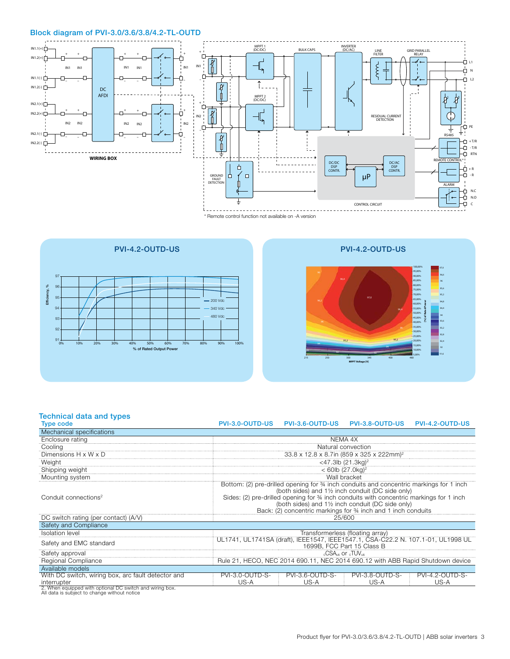#### Block diagram of PVI-3.0/3.6/3.8/4.2-TL-OUTD



\* Remote control function not available on -A version





# Technical data and types

| <b>Type code</b>                                                      |                                                                                                                                                                                                                                                                                                                                                                                       | PVI-3.0-OUTD-US PVI-3.6-OUTD-US | <b>PVI-3.8-OUTD-US</b> | <b>PVI-4.2-OUTD-US</b> |  |  |  |  |  |
|-----------------------------------------------------------------------|---------------------------------------------------------------------------------------------------------------------------------------------------------------------------------------------------------------------------------------------------------------------------------------------------------------------------------------------------------------------------------------|---------------------------------|------------------------|------------------------|--|--|--|--|--|
| Mechanical specifications                                             |                                                                                                                                                                                                                                                                                                                                                                                       |                                 |                        |                        |  |  |  |  |  |
| Enclosure rating                                                      | NEMA 4X                                                                                                                                                                                                                                                                                                                                                                               |                                 |                        |                        |  |  |  |  |  |
| Cooling                                                               | Natural convection                                                                                                                                                                                                                                                                                                                                                                    |                                 |                        |                        |  |  |  |  |  |
| Dimensions H x W x D                                                  | $\frac{123.8 \times 12.8 \times 8.7 \text{ln} \ (859 \times 325 \times 222 \text{mm})^2}{33.8 \times 12.8 \times 8.7 \text{ln} \ (859 \times 325 \times 222 \text{mm})^2}$                                                                                                                                                                                                            |                                 |                        |                        |  |  |  |  |  |
| Weight                                                                | $<$ 47.3lb (21.3kg) <sup>2</sup>                                                                                                                                                                                                                                                                                                                                                      |                                 |                        |                        |  |  |  |  |  |
| Shipping weight                                                       | $< 60$ lb $(27.0$ kg $)^2$                                                                                                                                                                                                                                                                                                                                                            |                                 |                        |                        |  |  |  |  |  |
| Mounting system                                                       | Wall bracket                                                                                                                                                                                                                                                                                                                                                                          |                                 |                        |                        |  |  |  |  |  |
| Conduit connections <sup>2</sup>                                      | Bottom: (2) pre-drilled opening for 34 inch conduits and concentric markings for 1 inch<br>(both sides) and 1 <sup>1/2</sup> inch conduit (DC side only)<br>Sides: (2) pre-drilled opening for 34 inch conduits with concentric markings for 1 inch<br>(both sides) and 1 <sup>1/2</sup> inch conduit (DC side only)<br>Back: (2) concentric markings for 34 inch and 1 inch conduits |                                 |                        |                        |  |  |  |  |  |
| DC switch rating (per contact) (A/V)                                  | 25/600                                                                                                                                                                                                                                                                                                                                                                                |                                 |                        |                        |  |  |  |  |  |
| Safety and Compliance                                                 |                                                                                                                                                                                                                                                                                                                                                                                       |                                 |                        |                        |  |  |  |  |  |
| <b>Isolation level</b>                                                | Transformerless (floating array)                                                                                                                                                                                                                                                                                                                                                      |                                 |                        |                        |  |  |  |  |  |
| Safety and EMC standard                                               | UL1741, UL1741SA (draft), IEEE1547, IEEE1547.1, CSA-C22.2 N. 107.1-01, UL1998 UL<br>1699B, FCC Part 15 Class B                                                                                                                                                                                                                                                                        |                                 |                        |                        |  |  |  |  |  |
| Safety approval                                                       | cCSAus or cTUVus                                                                                                                                                                                                                                                                                                                                                                      |                                 |                        |                        |  |  |  |  |  |
| Regional Compliance                                                   | Rule 21, HECO, NEC 2014 690.11, NEC 2014 690.12 with ABB Rapid Shutdown device                                                                                                                                                                                                                                                                                                        |                                 |                        |                        |  |  |  |  |  |
| Available models                                                      |                                                                                                                                                                                                                                                                                                                                                                                       |                                 |                        |                        |  |  |  |  |  |
| With DC switch, wiring box, arc fault detector and                    | PVI-3.0-OUTD-S-                                                                                                                                                                                                                                                                                                                                                                       | <b>PVI-3.6-OUTD-S-</b>          | <b>PVI-3.8-OUTD-S-</b> | PVI-4.2-OUTD-S-        |  |  |  |  |  |
| interrupter<br>2 When equipped with optional DC switch and wiring box | US-A                                                                                                                                                                                                                                                                                                                                                                                  | US-A                            | US-A                   | US-A                   |  |  |  |  |  |

2. When equipped with optional DC switch and wiring box. All data is subject to change without notice